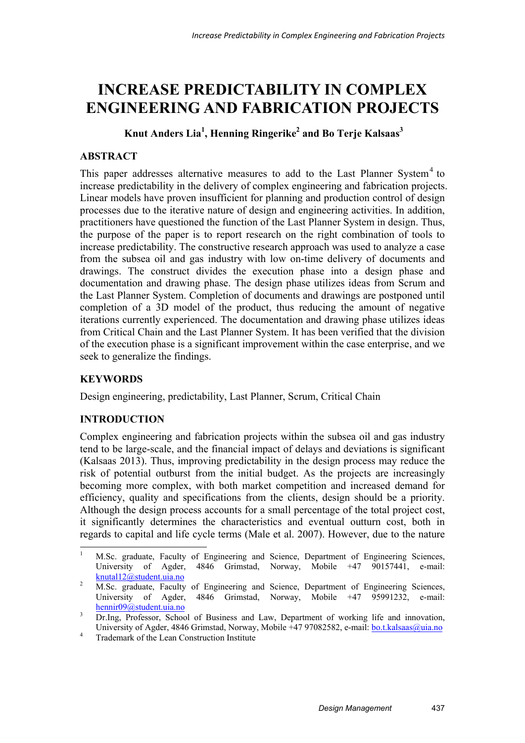# **INCREASE PREDICTABILITY IN COMPLEX ENGINEERING AND FABRICATION PROJECTS**

 **Knut Anders Lia1 , Henning Ringerike2 and Bo Terje Kalsaas<sup>3</sup>**

# **ABSTRACT**

This paper addresses alternative measures to add to the Last Planner System<sup>4</sup> to increase predictability in the delivery of complex engineering and fabrication projects. Linear models have proven insufficient for planning and production control of design processes due to the iterative nature of design and engineering activities. In addition, practitioners have questioned the function of the Last Planner System in design. Thus, the purpose of the paper is to report research on the right combination of tools to increase predictability. The constructive research approach was used to analyze a case from the subsea oil and gas industry with low on-time delivery of documents and drawings. The construct divides the execution phase into a design phase and documentation and drawing phase. The design phase utilizes ideas from Scrum and the Last Planner System. Completion of documents and drawings are postponed until completion of a 3D model of the product, thus reducing the amount of negative iterations currently experienced. The documentation and drawing phase utilizes ideas from Critical Chain and the Last Planner System. It has been verified that the division of the execution phase is a significant improvement within the case enterprise, and we seek to generalize the findings.

# **KEYWORDS**

Design engineering, predictability, Last Planner, Scrum, Critical Chain

# **INTRODUCTION**

Complex engineering and fabrication projects within the subsea oil and gas industry tend to be large-scale, and the financial impact of delays and deviations is significant (Kalsaas 2013). Thus, improving predictability in the design process may reduce the risk of potential outburst from the initial budget. As the projects are increasingly becoming more complex, with both market competition and increased demand for efficiency, quality and specifications from the clients, design should be a priority. Although the design process accounts for a small percentage of the total project cost, it significantly determines the characteristics and eventual outturn cost, both in regards to capital and life cycle terms (Male et al. 2007). However, due to the nature

<sup>-</sup>1 M.Sc. graduate, Faculty of Engineering and Science, Department of Engineering Sciences, University of Agder, 4846 Grimstad, Norway, Mobile +47 90157441, e-mail:  $\frac{\text{knutal12@student.uia.no}}{MSc}$ 

M.Sc. graduate, Faculty of Engineering and Science, Department of Engineering Sciences, University of Agder, 4846 Grimstad, Norway, Mobile +47 95991232, e-mail: hennir09@student.uia.no

<sup>3</sup> Dr.Ing, Professor, School of Business and Law, Department of working life and innovation, University of Agder, 4846 Grimstad, Norway, Mobile +47 97082582, e-mail: <u>bo.t.kalsaas@uia.no</u>

Trademark of the Lean Construction Institute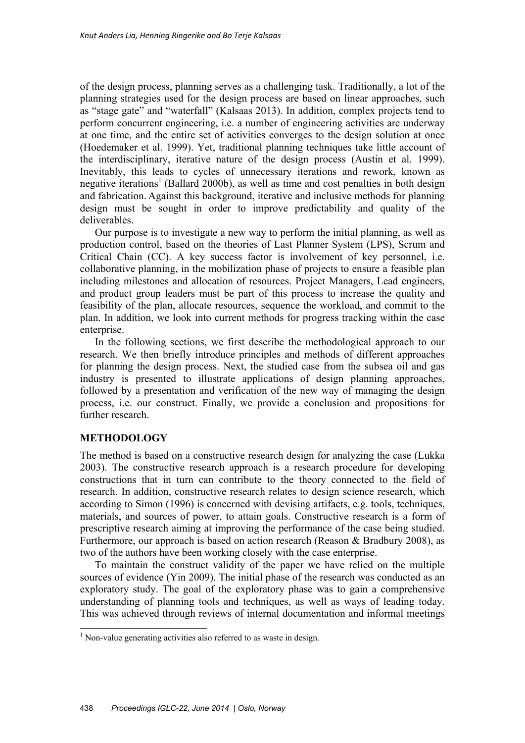of the design process, planning serves as a challenging task. Traditionally, a lot of the planning strategies used for the design process are based on linear approaches, such as "stage gate" and "waterfall" (Kalsaas 2013). In addition, complex projects tend to perform concurrent engineering, i.e. a number of engineering activities are underway at one time, and the entire set of activities converges to the design solution at once (Hoedemaker et al. 1999). Yet, traditional planning techniques take little account of the interdisciplinary, iterative nature of the design process (Austin et al. 1999). Inevitably, this leads to cycles of unnecessary iterations and rework, known as negative iterations<sup>1</sup> (Ballard 2000b), as well as time and cost penalties in both design and fabrication. Against this background, iterative and inclusive methods for planning design must be sought in order to improve predictability and quality of the deliverables.

Our purpose is to investigate a new way to perform the initial planning, as well as production control, based on the theories of Last Planner System (LPS), Scrum and Critical Chain (CC). A key success factor is involvement of key personnel, i.e. collaborative planning, in the mobilization phase of projects to ensure a feasible plan including milestones and allocation of resources. Project Managers, Lead engineers, and product group leaders must be part of this process to increase the quality and feasibility of the plan, allocate resources, sequence the workload, and commit to the plan. In addition, we look into current methods for progress tracking within the case enterprise.

In the following sections, we first describe the methodological approach to our research. We then briefly introduce principles and methods of different approaches for planning the design process. Next, the studied case from the subsea oil and gas industry is presented to illustrate applications of design planning approaches, followed by a presentation and verification of the new way of managing the design process, i.e. our construct. Finally, we provide a conclusion and propositions for further research.

## **METHODOLOGY**

-

The method is based on a constructive research design for analyzing the case (Lukka 2003). The constructive research approach is a research procedure for developing constructions that in turn can contribute to the theory connected to the field of research. In addition, constructive research relates to design science research, which according to Simon (1996) is concerned with devising artifacts, e.g. tools, techniques, materials, and sources of power, to attain goals. Constructive research is a form of prescriptive research aiming at improving the performance of the case being studied. Furthermore, our approach is based on action research (Reason & Bradbury 2008), as two of the authors have been working closely with the case enterprise.

To maintain the construct validity of the paper we have relied on the multiple sources of evidence (Yin 2009). The initial phase of the research was conducted as an exploratory study. The goal of the exploratory phase was to gain a comprehensive understanding of planning tools and techniques, as well as ways of leading today. This was achieved through reviews of internal documentation and informal meetings

<sup>&</sup>lt;sup>1</sup> Non-value generating activities also referred to as waste in design.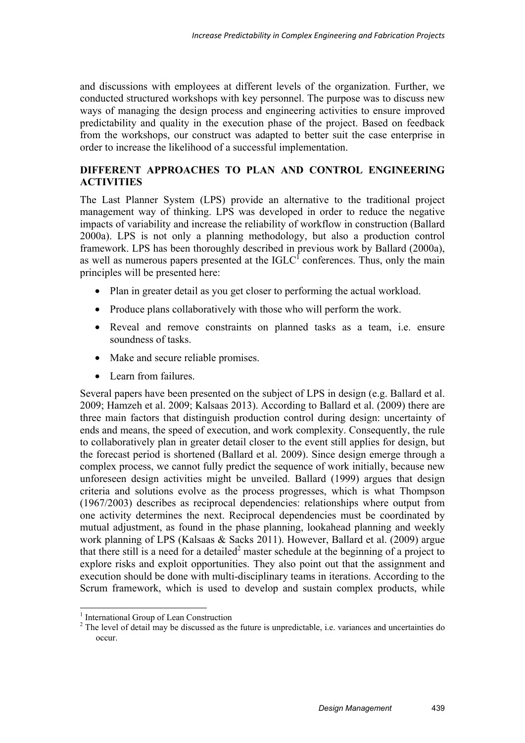and discussions with employees at different levels of the organization. Further, we conducted structured workshops with key personnel. The purpose was to discuss new ways of managing the design process and engineering activities to ensure improved predictability and quality in the execution phase of the project. Based on feedback from the workshops, our construct was adapted to better suit the case enterprise in order to increase the likelihood of a successful implementation.

## **DIFFERENT APPROACHES TO PLAN AND CONTROL ENGINEERING ACTIVITIES**

The Last Planner System (LPS) provide an alternative to the traditional project management way of thinking. LPS was developed in order to reduce the negative impacts of variability and increase the reliability of workflow in construction (Ballard 2000a). LPS is not only a planning methodology, but also a production control framework. LPS has been thoroughly described in previous work by Ballard (2000a), as well as numerous papers presented at the  $IGLC<sup>1</sup>$  conferences. Thus, only the main principles will be presented here:

- Plan in greater detail as you get closer to performing the actual workload.
- Produce plans collaboratively with those who will perform the work.
- Reveal and remove constraints on planned tasks as a team, i.e. ensure soundness of tasks.
- Make and secure reliable promises.
- Learn from failures.

Several papers have been presented on the subject of LPS in design (e.g. Ballard et al. 2009; Hamzeh et al. 2009; Kalsaas 2013). According to Ballard et al. (2009) there are three main factors that distinguish production control during design: uncertainty of ends and means, the speed of execution, and work complexity. Consequently, the rule to collaboratively plan in greater detail closer to the event still applies for design, but the forecast period is shortened (Ballard et al. 2009). Since design emerge through a complex process, we cannot fully predict the sequence of work initially, because new unforeseen design activities might be unveiled. Ballard (1999) argues that design criteria and solutions evolve as the process progresses, which is what Thompson (1967/2003) describes as reciprocal dependencies: relationships where output from one activity determines the next. Reciprocal dependencies must be coordinated by mutual adjustment, as found in the phase planning, lookahead planning and weekly work planning of LPS (Kalsaas & Sacks 2011). However, Ballard et al. (2009) argue that there still is a need for a detailed<sup>2</sup> master schedule at the beginning of a project to explore risks and exploit opportunities. They also point out that the assignment and execution should be done with multi-disciplinary teams in iterations. According to the Scrum framework, which is used to develop and sustain complex products, while

1

<sup>&</sup>lt;sup>1</sup> International Group of Lean Construction

 $2$  The level of detail may be discussed as the future is unpredictable, i.e. variances and uncertainties do occur.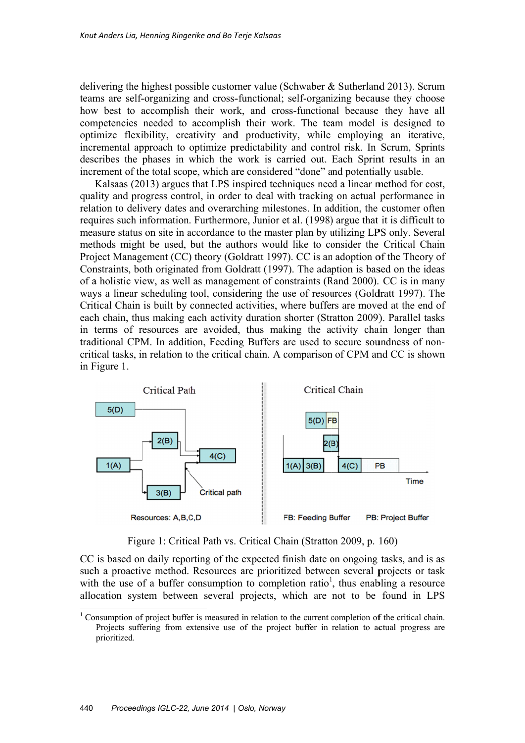delivering the highest possible customer value (Schwaber & Sutherland 2013). Scrum teams are self-organizing and cross-functional; self-organizing because they choose how best to accomplish their work, and cross-functional because they have all competencies needed to accomplish their work. The team model is designed to optimize flexibility, creativity and productivity, while employing an iterative, incremental approach to optimize predictability and control risk. In Scrum, Sprints describes the phases in which the work is carried out. Each Sprint results in an increment of the total scope, which are considered "done" and potentially usable.

quality and progress control, in order to deal with tracking on actual performance in relation to delivery dates and overarching milestones. In addition, the customer often requires such information. Furthermore, Junior et al. (1998) argue that it is difficult to measure status on site in accordance to the master plan by utilizing LPS only. Several methods might be used, but the authors would like to consider the Critical Chain Project Management (CC) theory (Goldratt 1997). CC is an adoption of the Theory of Constraints, both originated from Goldratt (1997). The adaption is based on the ideas of a holistic view, as well as management of constraints (Rand 2000). CC is in many ways a linear scheduling tool, considering the use of resources (Goldratt 1997). The Critical Chain is built by connected activities, where buffers are moved at the end of each chain, thus making each activity duration shorter (Stratton 2009). Parallel tasks in terms of resources are avoided, thus making the activity chain longer than traditional CPM. In addition, Feeding Buffers are used to secure soundness of noncritical tasks, in relation to the critical chain. A comparison of CPM and CC is shown in F Figure 1. Kalsaas (2013) argues that LPS inspired techniques need a linear method for cost, (Schwaber &<br> *y* self-organiz<br> *y*s self-organiz<br>
oss-functiona<br>
ork. The tea<br>
vity, while<br> *y* and contrc<br>
arried out. If<br>
red "done" are<br>
with tracking<br>
stones. In add<br>
et al. (1998)<br>
ter plan by u<br>
ld like to co<br>
7). CC



Figure 1: Critical Path vs. Critical Chain (Stratton 2009, p. 160)

CC is based on daily reporting of the expected finish date on ongoing tasks, and is as such a proactive method. Resources are prioritized between several projects or task with the use of a buffer consumption to completion ratio<sup>1</sup>, thus enabling a resource allocation system between several projects, which are not to be found in LPS

l

1

l

l

 $\frac{1}{1}$  Consumption of project buffer is measured in relation to the current completion of the critical chain. Projects suffering from extensive use of the project buffer in relation to actual progress are prioritized.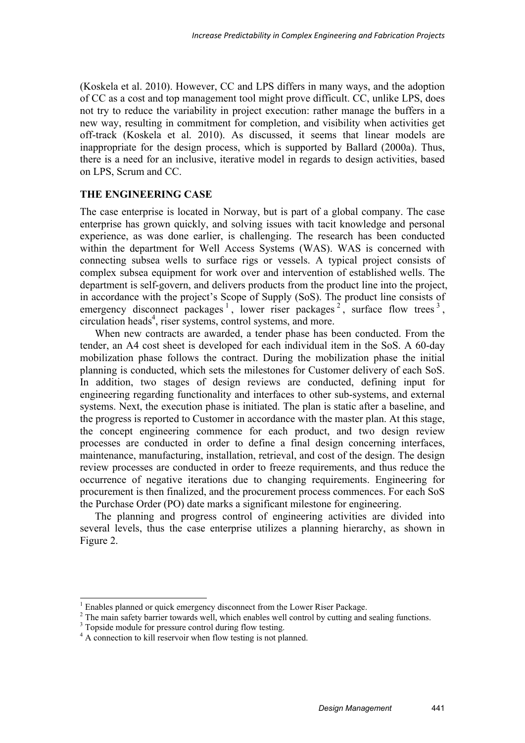(Koskela et al. 2010). However, CC and LPS differs in many ways, and the adoption of CC as a cost and top management tool might prove difficult. CC, unlike LPS, does not try to reduce the variability in project execution: rather manage the buffers in a new way, resulting in commitment for completion, and visibility when activities get off-track (Koskela et al. 2010). As discussed, it seems that linear models are inappropriate for the design process, which is supported by Ballard (2000a). Thus, there is a need for an inclusive, iterative model in regards to design activities, based on LPS, Scrum and CC.

### **THE ENGINEERING CASE**

The case enterprise is located in Norway, but is part of a global company. The case enterprise has grown quickly, and solving issues with tacit knowledge and personal experience, as was done earlier, is challenging. The research has been conducted within the department for Well Access Systems (WAS). WAS is concerned with connecting subsea wells to surface rigs or vessels. A typical project consists of complex subsea equipment for work over and intervention of established wells. The department is self-govern, and delivers products from the product line into the project, in accordance with the project's Scope of Supply (SoS). The product line consists of emergency disconnect packages<sup>1</sup>, lower riser packages<sup>2</sup>, surface flow trees<sup>3</sup>, circulation heads<sup>4</sup>, riser systems, control systems, and more.

When new contracts are awarded, a tender phase has been conducted. From the tender, an A4 cost sheet is developed for each individual item in the SoS. A 60-day mobilization phase follows the contract. During the mobilization phase the initial planning is conducted, which sets the milestones for Customer delivery of each SoS. In addition, two stages of design reviews are conducted, defining input for engineering regarding functionality and interfaces to other sub-systems, and external systems. Next, the execution phase is initiated. The plan is static after a baseline, and the progress is reported to Customer in accordance with the master plan. At this stage, the concept engineering commence for each product, and two design review processes are conducted in order to define a final design concerning interfaces, maintenance, manufacturing, installation, retrieval, and cost of the design. The design review processes are conducted in order to freeze requirements, and thus reduce the occurrence of negative iterations due to changing requirements. Engineering for procurement is then finalized, and the procurement process commences. For each SoS the Purchase Order (PO) date marks a significant milestone for engineering.

The planning and progress control of engineering activities are divided into several levels, thus the case enterprise utilizes a planning hierarchy, as shown in Figure 2.

-

 $\frac{1}{2}$  Enables planned or quick emergency disconnect from the Lower Riser Package.

<sup>&</sup>lt;sup>2</sup> The main safety barrier towards well, which enables well control by cutting and sealing functions.

<sup>&</sup>lt;sup>3</sup> Topside module for pressure control during flow testing.

<sup>&</sup>lt;sup>4</sup> A connection to kill reservoir when flow testing is not planned.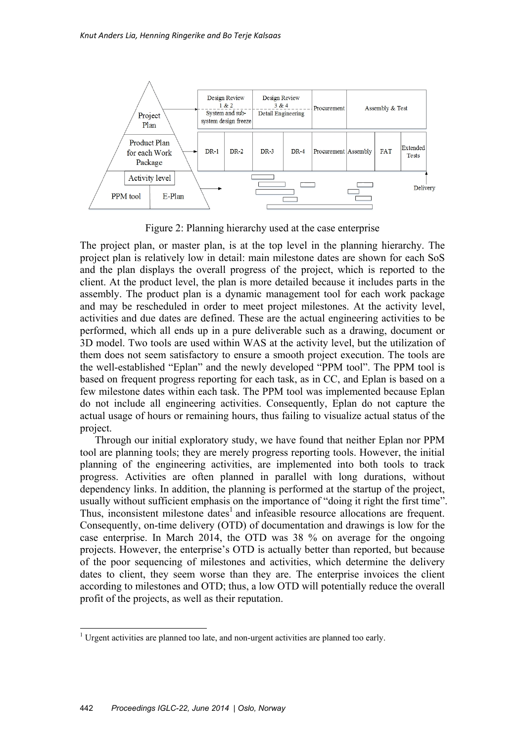

Figure 2: Planning hierarchy used at the case enterprise

The project plan, or master plan, is at the top level in the planning hierarchy. The project plan is relatively low in detail: main milestone dates are shown for each SoS and the plan displays the overall progress of the project, which is reported to the client. At the product level, the plan is more detailed because it includes parts in the assembly. The product plan is a dynamic management tool for each work package and may be rescheduled in order to meet project milestones. At the activity level, activities and due dates are defined. These are the actual engineering activities to be performed, which all ends up in a pure deliverable such as a drawing, document or 3D model. Two tools are used within WAS at the activity level, but the utilization of them does not seem satisfactory to ensure a smooth project execution. The tools are the well-established "Eplan" and the newly developed "PPM tool". The PPM tool is based on frequent progress reporting for each task, as in CC, and Eplan is based on a few milestone dates within each task. The PPM tool was implemented because Eplan do not include all engineering activities. Consequently, Eplan do not capture the actual usage of hours or remaining hours, thus failing to visualize actual status of the project.

Through our initial exploratory study, we have found that neither Eplan nor PPM tool are planning tools; they are merely progress reporting tools. However, the initial planning of the engineering activities, are implemented into both tools to track progress. Activities are often planned in parallel with long durations, without dependency links. In addition, the planning is performed at the startup of the project, usually without sufficient emphasis on the importance of "doing it right the first time". Thus, inconsistent milestone dates<sup>1</sup> and infeasible resource allocations are frequent. Consequently, on-time delivery (OTD) of documentation and drawings is low for the case enterprise. In March 2014, the OTD was 38 % on average for the ongoing projects. However, the enterprise's OTD is actually better than reported, but because of the poor sequencing of milestones and activities, which determine the delivery dates to client, they seem worse than they are. The enterprise invoices the client according to milestones and OTD; thus, a low OTD will potentially reduce the overall profit of the projects, as well as their reputation.

-

<sup>&</sup>lt;sup>1</sup> Urgent activities are planned too late, and non-urgent activities are planned too early.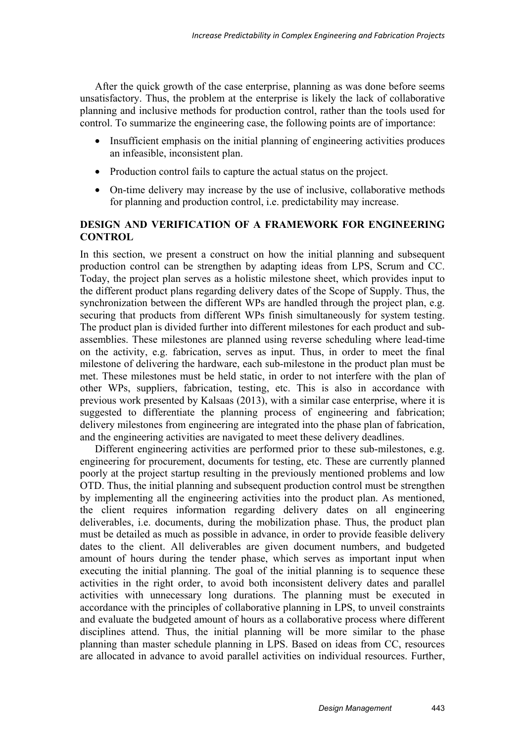After the quick growth of the case enterprise, planning as was done before seems unsatisfactory. Thus, the problem at the enterprise is likely the lack of collaborative planning and inclusive methods for production control, rather than the tools used for control. To summarize the engineering case, the following points are of importance:

- Insufficient emphasis on the initial planning of engineering activities produces an infeasible, inconsistent plan.
- Production control fails to capture the actual status on the project.
- On-time delivery may increase by the use of inclusive, collaborative methods for planning and production control, i.e. predictability may increase.

## **DESIGN AND VERIFICATION OF A FRAMEWORK FOR ENGINEERING CONTROL**

In this section, we present a construct on how the initial planning and subsequent production control can be strengthen by adapting ideas from LPS, Scrum and CC. Today, the project plan serves as a holistic milestone sheet, which provides input to the different product plans regarding delivery dates of the Scope of Supply. Thus, the synchronization between the different WPs are handled through the project plan, e.g. securing that products from different WPs finish simultaneously for system testing. The product plan is divided further into different milestones for each product and subassemblies. These milestones are planned using reverse scheduling where lead-time on the activity, e.g. fabrication, serves as input. Thus, in order to meet the final milestone of delivering the hardware, each sub-milestone in the product plan must be met. These milestones must be held static, in order to not interfere with the plan of other WPs, suppliers, fabrication, testing, etc. This is also in accordance with previous work presented by Kalsaas (2013), with a similar case enterprise, where it is suggested to differentiate the planning process of engineering and fabrication; delivery milestones from engineering are integrated into the phase plan of fabrication, and the engineering activities are navigated to meet these delivery deadlines.

Different engineering activities are performed prior to these sub-milestones, e.g. engineering for procurement, documents for testing, etc. These are currently planned poorly at the project startup resulting in the previously mentioned problems and low OTD. Thus, the initial planning and subsequent production control must be strengthen by implementing all the engineering activities into the product plan. As mentioned, the client requires information regarding delivery dates on all engineering deliverables, i.e. documents, during the mobilization phase. Thus, the product plan must be detailed as much as possible in advance, in order to provide feasible delivery dates to the client. All deliverables are given document numbers, and budgeted amount of hours during the tender phase, which serves as important input when executing the initial planning. The goal of the initial planning is to sequence these activities in the right order, to avoid both inconsistent delivery dates and parallel activities with unnecessary long durations. The planning must be executed in accordance with the principles of collaborative planning in LPS, to unveil constraints and evaluate the budgeted amount of hours as a collaborative process where different disciplines attend. Thus, the initial planning will be more similar to the phase planning than master schedule planning in LPS. Based on ideas from CC, resources are allocated in advance to avoid parallel activities on individual resources. Further,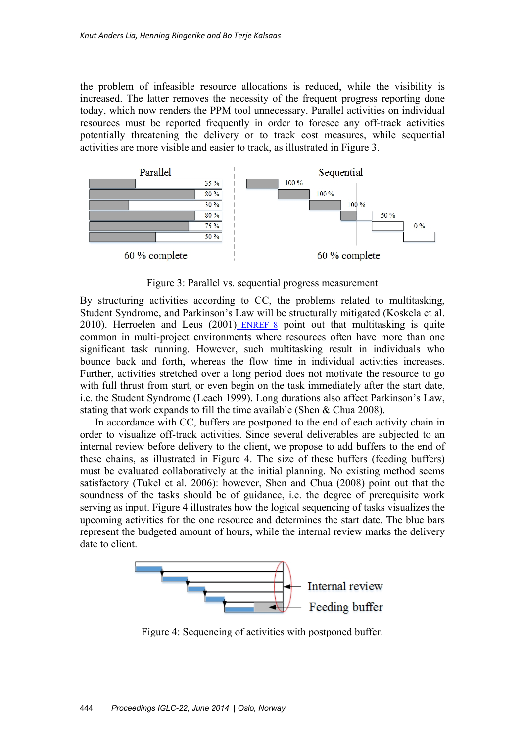the problem of infeasible resource allocations is reduced, while the visibility is increased. The latter removes the necessity of the frequent progress reporting done today, which now renders the PPM tool unnecessary. Parallel activities on individual resources must be reported frequently in order to foresee any off-track activities potentially threatening the delivery or to track cost measures, while sequential activities are more visible and easier to track, as illustrated in Figure 3.



Figure 3: Parallel vs. sequential progress measurement

By structuring activities according to CC, the problems related to multitasking, Student Syndrome, and Parkinson's Law will be structurally mitigated (Koskela et al. 2010). Herroelen and Leus  $(2001)$  ENREF 8 point out that multitasking is quite common in multi-project environments where resources often have more than one significant task running. However, such multitasking result in individuals who bounce back and forth, whereas the flow time in individual activities increases. Further, activities stretched over a long period does not motivate the resource to go with full thrust from start, or even begin on the task immediately after the start date, i.e. the Student Syndrome (Leach 1999). Long durations also affect Parkinson's Law, stating that work expands to fill the time available (Shen & Chua 2008).

In accordance with CC, buffers are postponed to the end of each activity chain in order to visualize off-track activities. Since several deliverables are subjected to an internal review before delivery to the client, we propose to add buffers to the end of these chains, as illustrated in Figure 4. The size of these buffers (feeding buffers) must be evaluated collaboratively at the initial planning. No existing method seems satisfactory (Tukel et al. 2006): however, Shen and Chua (2008) point out that the soundness of the tasks should be of guidance, i.e. the degree of prerequisite work serving as input. Figure 4 illustrates how the logical sequencing of tasks visualizes the upcoming activities for the one resource and determines the start date. The blue bars represent the budgeted amount of hours, while the internal review marks the delivery date to client.



Figure 4: Sequencing of activities with postponed buffer.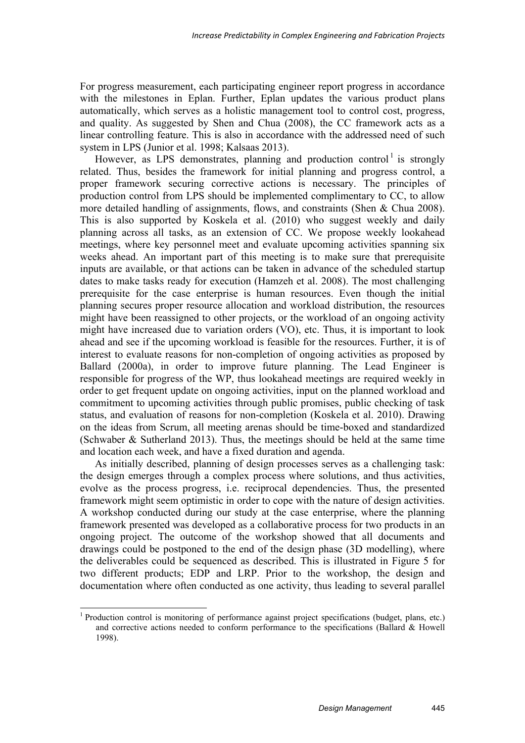For progress measurement, each participating engineer report progress in accordance with the milestones in Eplan. Further, Eplan updates the various product plans automatically, which serves as a holistic management tool to control cost, progress, and quality. As suggested by Shen and Chua (2008), the CC framework acts as a linear controlling feature. This is also in accordance with the addressed need of such system in LPS (Junior et al. 1998; Kalsaas 2013).

However, as LPS demonstrates, planning and production control<sup>1</sup> is strongly related. Thus, besides the framework for initial planning and progress control, a proper framework securing corrective actions is necessary. The principles of production control from LPS should be implemented complimentary to CC, to allow more detailed handling of assignments, flows, and constraints (Shen & Chua 2008). This is also supported by Koskela et al. (2010) who suggest weekly and daily planning across all tasks, as an extension of CC. We propose weekly lookahead meetings, where key personnel meet and evaluate upcoming activities spanning six weeks ahead. An important part of this meeting is to make sure that prerequisite inputs are available, or that actions can be taken in advance of the scheduled startup dates to make tasks ready for execution (Hamzeh et al. 2008). The most challenging prerequisite for the case enterprise is human resources. Even though the initial planning secures proper resource allocation and workload distribution, the resources might have been reassigned to other projects, or the workload of an ongoing activity might have increased due to variation orders (VO), etc. Thus, it is important to look ahead and see if the upcoming workload is feasible for the resources. Further, it is of interest to evaluate reasons for non-completion of ongoing activities as proposed by Ballard (2000a), in order to improve future planning. The Lead Engineer is responsible for progress of the WP, thus lookahead meetings are required weekly in order to get frequent update on ongoing activities, input on the planned workload and commitment to upcoming activities through public promises, public checking of task status, and evaluation of reasons for non-completion (Koskela et al. 2010). Drawing on the ideas from Scrum, all meeting arenas should be time-boxed and standardized (Schwaber & Sutherland 2013). Thus, the meetings should be held at the same time and location each week, and have a fixed duration and agenda.

As initially described, planning of design processes serves as a challenging task: the design emerges through a complex process where solutions, and thus activities, evolve as the process progress, i.e. reciprocal dependencies. Thus, the presented framework might seem optimistic in order to cope with the nature of design activities. A workshop conducted during our study at the case enterprise, where the planning framework presented was developed as a collaborative process for two products in an ongoing project. The outcome of the workshop showed that all documents and drawings could be postponed to the end of the design phase (3D modelling), where the deliverables could be sequenced as described. This is illustrated in Figure 5 for two different products; EDP and LRP. Prior to the workshop, the design and documentation where often conducted as one activity, thus leading to several parallel

1

<sup>&</sup>lt;sup>1</sup> Production control is monitoring of performance against project specifications (budget, plans, etc.) and corrective actions needed to conform performance to the specifications (Ballard & Howell 1998).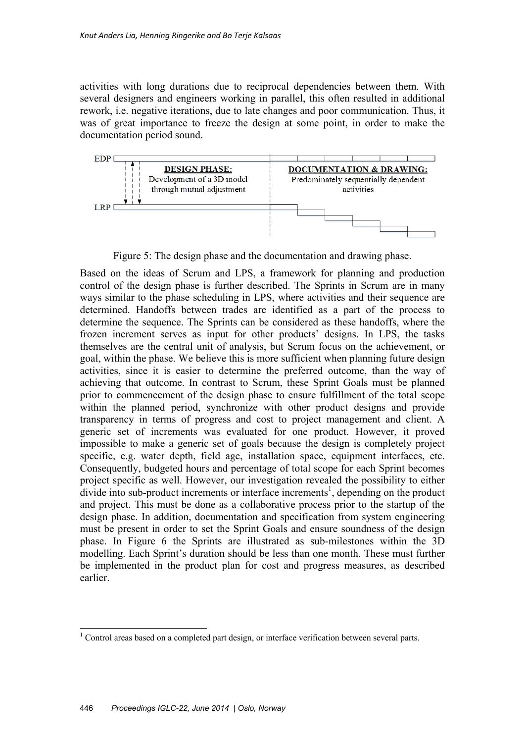activities with long durations due to reciprocal dependencies between them. With several designers and engineers working in parallel, this often resulted in additional rework, i.e. negative iterations, due to late changes and poor communication. Thus, it was of great importance to freeze the design at some point, in order to make the documentation period sound.



Figure 5: The design phase and the documentation and drawing phase.

Based on the ideas of Scrum and LPS, a framework for planning and production control of the design phase is further described. The Sprints in Scrum are in many ways similar to the phase scheduling in LPS, where activities and their sequence are determined. Handoffs between trades are identified as a part of the process to determine the sequence. The Sprints can be considered as these handoffs, where the frozen increment serves as input for other products' designs. In LPS, the tasks themselves are the central unit of analysis, but Scrum focus on the achievement, or goal, within the phase. We believe this is more sufficient when planning future design activities, since it is easier to determine the preferred outcome, than the way of achieving that outcome. In contrast to Scrum, these Sprint Goals must be planned prior to commencement of the design phase to ensure fulfillment of the total scope within the planned period, synchronize with other product designs and provide transparency in terms of progress and cost to project management and client. A generic set of increments was evaluated for one product. However, it proved impossible to make a generic set of goals because the design is completely project specific, e.g. water depth, field age, installation space, equipment interfaces, etc. Consequently, budgeted hours and percentage of total scope for each Sprint becomes project specific as well. However, our investigation revealed the possibility to either divide into sub-product increments or interface increments<sup>1</sup>, depending on the product and project. This must be done as a collaborative process prior to the startup of the design phase. In addition, documentation and specification from system engineering must be present in order to set the Sprint Goals and ensure soundness of the design phase. In Figure 6 the Sprints are illustrated as sub-milestones within the 3D modelling. Each Sprint's duration should be less than one month. These must further be implemented in the product plan for cost and progress measures, as described earlier.

<sup>&</sup>lt;sup>1</sup> Control areas based on a completed part design, or interface verification between several parts.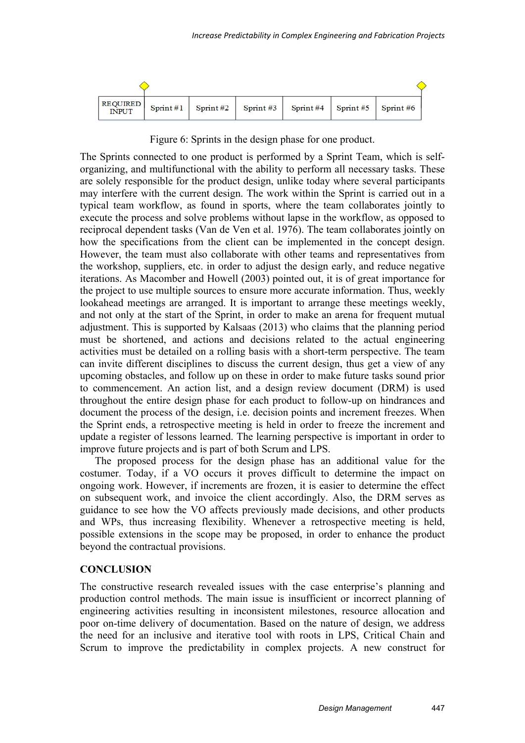

Figure 6: Sprints in the design phase for one product.

The Sprints connected to one product is performed by a Sprint Team, which is selforganizing, and multifunctional with the ability to perform all necessary tasks. These are solely responsible for the product design, unlike today where several participants may interfere with the current design. The work within the Sprint is carried out in a typical team workflow, as found in sports, where the team collaborates jointly to execute the process and solve problems without lapse in the workflow, as opposed to reciprocal dependent tasks (Van de Ven et al. 1976). The team collaborates jointly on how the specifications from the client can be implemented in the concept design. However, the team must also collaborate with other teams and representatives from the workshop, suppliers, etc. in order to adjust the design early, and reduce negative iterations. As Macomber and Howell (2003) pointed out, it is of great importance for the project to use multiple sources to ensure more accurate information. Thus, weekly lookahead meetings are arranged. It is important to arrange these meetings weekly, and not only at the start of the Sprint, in order to make an arena for frequent mutual adjustment. This is supported by Kalsaas (2013) who claims that the planning period must be shortened, and actions and decisions related to the actual engineering activities must be detailed on a rolling basis with a short-term perspective. The team can invite different disciplines to discuss the current design, thus get a view of any upcoming obstacles, and follow up on these in order to make future tasks sound prior to commencement. An action list, and a design review document (DRM) is used throughout the entire design phase for each product to follow-up on hindrances and document the process of the design, i.e. decision points and increment freezes. When the Sprint ends, a retrospective meeting is held in order to freeze the increment and update a register of lessons learned. The learning perspective is important in order to improve future projects and is part of both Scrum and LPS.

The proposed process for the design phase has an additional value for the costumer. Today, if a VO occurs it proves difficult to determine the impact on ongoing work. However, if increments are frozen, it is easier to determine the effect on subsequent work, and invoice the client accordingly. Also, the DRM serves as guidance to see how the VO affects previously made decisions, and other products and WPs, thus increasing flexibility. Whenever a retrospective meeting is held, possible extensions in the scope may be proposed, in order to enhance the product beyond the contractual provisions.

#### **CONCLUSION**

The constructive research revealed issues with the case enterprise's planning and production control methods. The main issue is insufficient or incorrect planning of engineering activities resulting in inconsistent milestones, resource allocation and poor on-time delivery of documentation. Based on the nature of design, we address the need for an inclusive and iterative tool with roots in LPS, Critical Chain and Scrum to improve the predictability in complex projects. A new construct for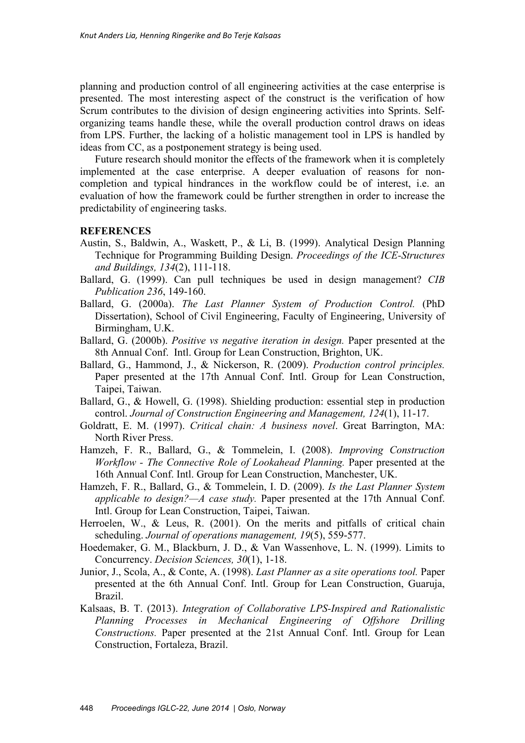planning and production control of all engineering activities at the case enterprise is presented. The most interesting aspect of the construct is the verification of how Scrum contributes to the division of design engineering activities into Sprints. Selforganizing teams handle these, while the overall production control draws on ideas from LPS. Further, the lacking of a holistic management tool in LPS is handled by ideas from CC, as a postponement strategy is being used.

Future research should monitor the effects of the framework when it is completely implemented at the case enterprise. A deeper evaluation of reasons for noncompletion and typical hindrances in the workflow could be of interest, i.e. an evaluation of how the framework could be further strengthen in order to increase the predictability of engineering tasks.

#### **REFERENCES**

- Austin, S., Baldwin, A., Waskett, P., & Li, B. (1999). Analytical Design Planning Technique for Programming Building Design. *Proceedings of the ICE-Structures and Buildings, 134*(2), 111-118.
- Ballard, G. (1999). Can pull techniques be used in design management? *CIB Publication 236*, 149-160.
- Ballard, G. (2000a). *The Last Planner System of Production Control.* (PhD Dissertation), School of Civil Engineering, Faculty of Engineering, University of Birmingham, U.K.
- Ballard, G. (2000b). *Positive vs negative iteration in design.* Paper presented at the 8th Annual Conf. Intl. Group for Lean Construction, Brighton, UK.
- Ballard, G., Hammond, J., & Nickerson, R. (2009). *Production control principles.* Paper presented at the 17th Annual Conf. Intl. Group for Lean Construction, Taipei, Taiwan.
- Ballard, G., & Howell, G. (1998). Shielding production: essential step in production control. *Journal of Construction Engineering and Management, 124*(1), 11-17.
- Goldratt, E. M. (1997). *Critical chain: A business novel*. Great Barrington, MA: North River Press.
- Hamzeh, F. R., Ballard, G., & Tommelein, I. (2008). *Improving Construction Workflow - The Connective Role of Lookahead Planning.* Paper presented at the 16th Annual Conf. Intl. Group for Lean Construction, Manchester, UK.
- Hamzeh, F. R., Ballard, G., & Tommelein, I. D. (2009). *Is the Last Planner System applicable to design?—A case study.* Paper presented at the 17th Annual Conf. Intl. Group for Lean Construction, Taipei, Taiwan.
- Herroelen, W., & Leus, R. (2001). On the merits and pitfalls of critical chain scheduling. *Journal of operations management, 19*(5), 559-577.
- Hoedemaker, G. M., Blackburn, J. D., & Van Wassenhove, L. N. (1999). Limits to Concurrency. *Decision Sciences, 30*(1), 1-18.
- Junior, J., Scola, A., & Conte, A. (1998). *Last Planner as a site operations tool.* Paper presented at the 6th Annual Conf. Intl. Group for Lean Construction, Guaruja, Brazil.
- Kalsaas, B. T. (2013). *Integration of Collaborative LPS-Inspired and Rationalistic Planning Processes in Mechanical Engineering of Offshore Drilling Constructions.* Paper presented at the 21st Annual Conf. Intl. Group for Lean Construction, Fortaleza, Brazil.